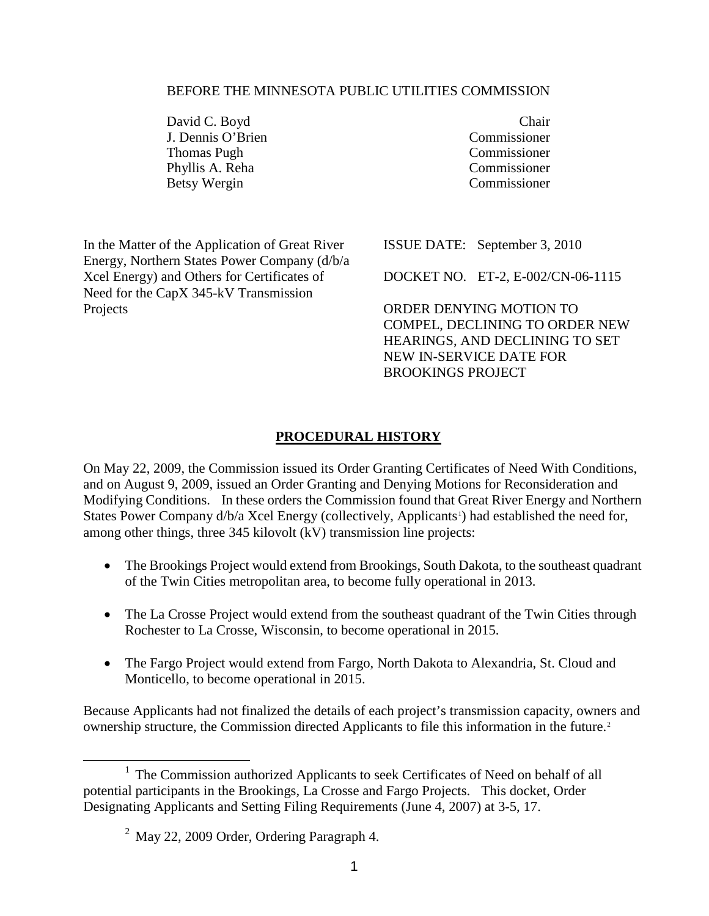#### <span id="page-0-1"></span>BEFORE THE MINNESOTA PUBLIC UTILITIES COMMISSION

David C. Boyd Chair<br>
J. Dennis O'Brien Commissioner J. Dennis O'Brien<br>Thomas Pugh Phyllis A. Reha Commissioner<br>Retsy Wergin Commissioner Betsy Wergin

**Commissioner** 

In the Matter of the Application of Great River Energy, Northern States Power Company (d/b/a Xcel Energy) and Others for Certificates of Need for the CapX 345-kV Transmission Projects

ISSUE DATE: September 3, 2010

DOCKET NO. ET-2, E-002/CN-06-1115

ORDER DENYING MOTION TO COMPEL, DECLINING TO ORDER NEW HEARINGS, AND DECLINING TO SET NEW IN-SERVICE DATE FOR BROOKINGS PROJECT

## **PROCEDURAL HISTORY**

On May 22, 2009, the Commission issued its Order Granting Certificates of Need With Conditions, and on August 9, 2009, issued an Order Granting and Denying Motions for Reconsideration and Modifying Conditions. In these orders the Commission found that Great River Energy and Northern States Power Company d/b/a Xcel Energy (collectively, Applicants<sup>[1](#page-0-0)</sup>) had established the need for, among other things, three 345 kilovolt (kV) transmission line projects:

- The Brookings Project would extend from Brookings, South Dakota, to the southeast quadrant of the Twin Cities metropolitan area, to become fully operational in 2013.
- The La Crosse Project would extend from the southeast quadrant of the Twin Cities through Rochester to La Crosse, Wisconsin, to become operational in 2015.
- The Fargo Project would extend from Fargo, North Dakota to Alexandria, St. Cloud and Monticello, to become operational in 2015.

Because Applicants had not finalized the details of each project's transmission capacity, owners and ownership structure, the Commission directed Applicants to file this information in the future.[2](#page-0-1)

<span id="page-0-0"></span><sup>&</sup>lt;sup>1</sup> The Commission authorized Applicants to seek Certificates of Need on behalf of all potential participants in the Brookings, La Crosse and Fargo Projects. This docket, Order Designating Applicants and Setting Filing Requirements (June 4, 2007) at 3-5, 17.

<sup>&</sup>lt;sup>2</sup> May 22, 2009 Order, Ordering Paragraph 4.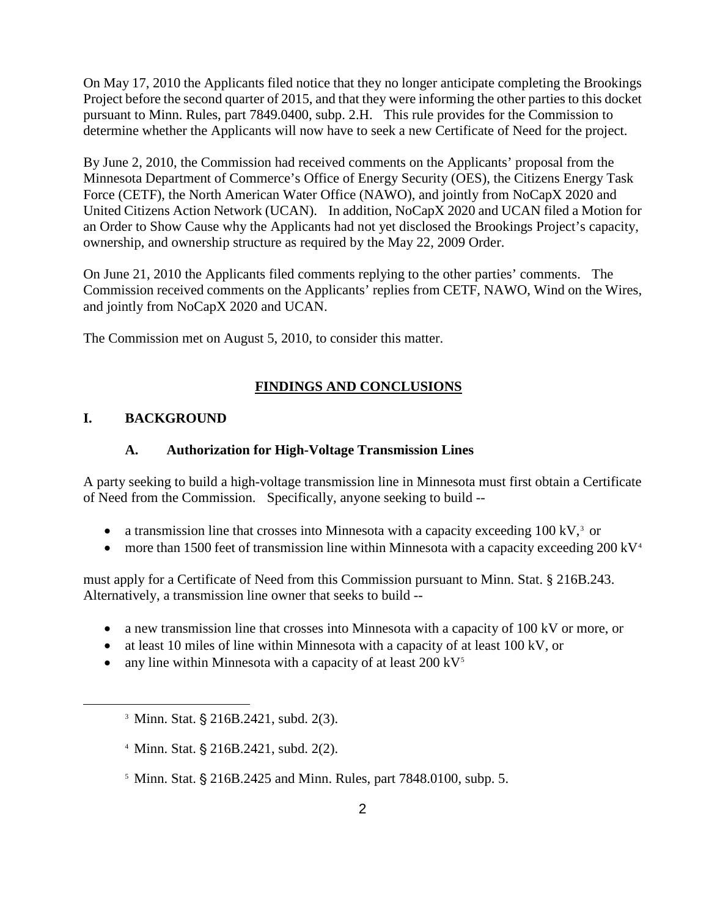On May 17, 2010 the Applicants filed notice that they no longer anticipate completing the Brookings Project before the second quarter of 2015, and that they were informing the other parties to this docket pursuant to Minn. Rules, part 7849.0400, subp. 2.H. This rule provides for the Commission to determine whether the Applicants will now have to seek a new Certificate of Need for the project.

By June 2, 2010, the Commission had received comments on the Applicants' proposal from the Minnesota Department of Commerce's Office of Energy Security (OES), the Citizens Energy Task Force (CETF), the North American Water Office (NAWO), and jointly from NoCapX 2020 and United Citizens Action Network (UCAN). In addition, NoCapX 2020 and UCAN filed a Motion for an Order to Show Cause why the Applicants had not yet disclosed the Brookings Project's capacity, ownership, and ownership structure as required by the May 22, 2009 Order.

On June 21, 2010 the Applicants filed comments replying to the other parties' comments. The Commission received comments on the Applicants' replies from CETF, NAWO, Wind on the Wires, and jointly from NoCapX 2020 and UCAN.

The Commission met on August 5, 2010, to consider this matter.

# **FINDINGS AND CONCLUSIONS**

## **I. BACKGROUND**

<span id="page-1-2"></span><span id="page-1-1"></span><span id="page-1-0"></span> $\overline{a}$ 

## **A. Authorization for High-Voltage Transmission Lines**

A party seeking to build a high-voltage transmission line in Minnesota must first obtain a Certificate of Need from the Commission. Specifically, anyone seeking to build --

- a transmission line that crosses into Minnesota with a capacity exceeding  $100 \text{ kV}^3$  $100 \text{ kV}^3$  or
- a transmission line that crosses into Minnesota with a capacity exceeding  $100 \text{ kV}$ ,<sup>3</sup> or more than 1500 feet of transmission line within Minnesota with a capacity exceeding  $200 \text{ kV}$ <sup>[4](#page-1-1)</sup>

must apply for a Certificate of Need from this Commission pursuant to Minn. Stat. § 216B.243. Alternatively, a transmission line owner that seeks to build --

- a new transmission line that crosses into Minnesota with a capacity of 100 kV or more, or
- at least 10 miles of line within Minnesota with a capacity of at least 100 kV, or
- any line within Minnesota with a capacity of at least  $200 \text{ kV}^5$  $200 \text{ kV}^5$

- $4$  Minn. Stat.  $\S$  216B.2421, subd. 2(2).
- $5$  Minn. Stat.  $\frac{6}{5}$  216B.2425 and Minn. Rules, part 7848.0100, subp. 5.

 $3$  Minn. Stat. § 216B.2421, subd. 2(3).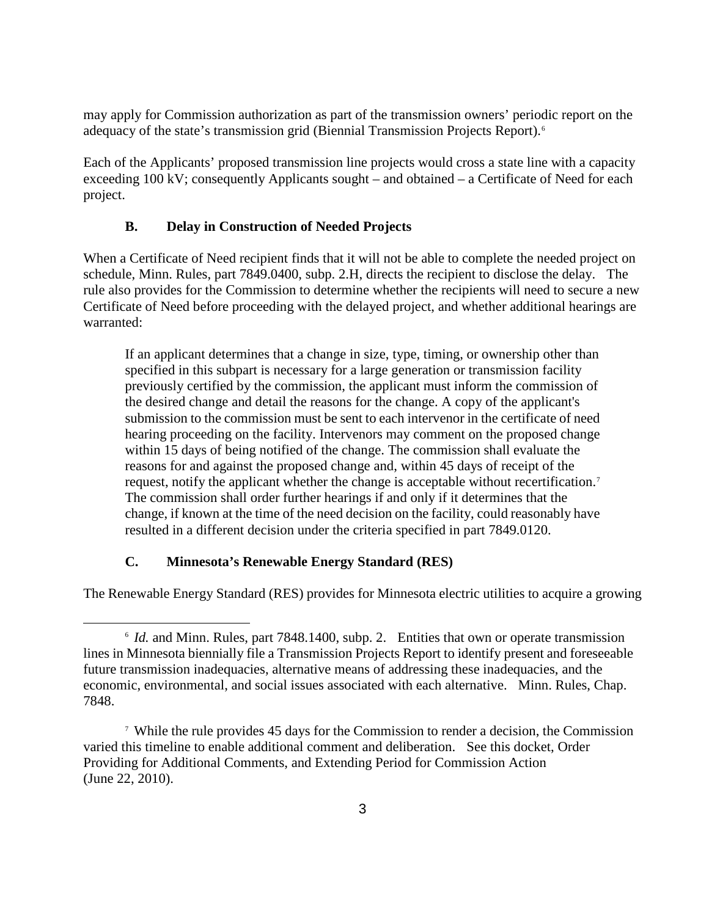may apply for Commission authorization as part of the transmission owners' periodic report on the adequacy of the state's transmission grid (Biennial Transmission Projects Report).<sup>[6](#page-2-0)</sup>

Each of the Applicants' proposed transmission line projects would cross a state line with a capacity exceeding 100 kV; consequently Applicants sought – and obtained – a Certificate of Need for each project.

### **B. Delay in Construction of Needed Projects**

When a Certificate of Need recipient finds that it will not be able to complete the needed project on schedule, Minn. Rules, part 7849.0400, subp. 2.H, directs the recipient to disclose the delay. The rule also provides for the Commission to determine whether the recipients will need to secure a new Certificate of Need before proceeding with the delayed project, and whether additional hearings are warranted:

If an applicant determines that a change in size, type, timing, or ownership other than specified in this subpart is necessary for a large generation or transmission facility previously certified by the commission, the applicant must inform the commission of the desired change and detail the reasons for the change. A copy of the applicant's submission to the commission must be sent to each intervenor in the certificate of need hearing proceeding on the facility. Intervenors may comment on the proposed change within 15 days of being notified of the change. The commission shall evaluate the reasons for and against the proposed change and, within 45 days of receipt of the request, notify the applicant whether the change is acceptable without recertification.<sup>[7](#page-2-1)</sup> The commission shall order further hearings if and only if it determines that the change, if known at the time of the need decision on the facility, could reasonably have resulted in a different decision under the criteria specified in part 7849.0120.

#### **C. Minnesota's Renewable Energy Standard (RES)**

<span id="page-2-0"></span>The Renewable Energy Standard (RES) provides for Minnesota electric utilities to acquire a growing

 $\overline{a}$ <sup>6</sup> *Id.* and Minn. Rules, part 7848.1400, subp. 2. Entities that own or operate transmission lines in Minnesota biennially file a Transmission Projects Report to identify present and foreseeable future transmission inadequacies, alternative means of addressing these inadequacies, and the economic, environmental, and social issues associated with each alternative. Minn. Rules, Chap. 7848.

<span id="page-2-2"></span><span id="page-2-1"></span><sup>7</sup> While the rule provides 45 days for the Commission to render a decision, the Commission varied this timeline to enable additional comment and deliberation. See this docket, Order Providing for Additional Comments, and Extending Period for Commission Action (June 22, 2010).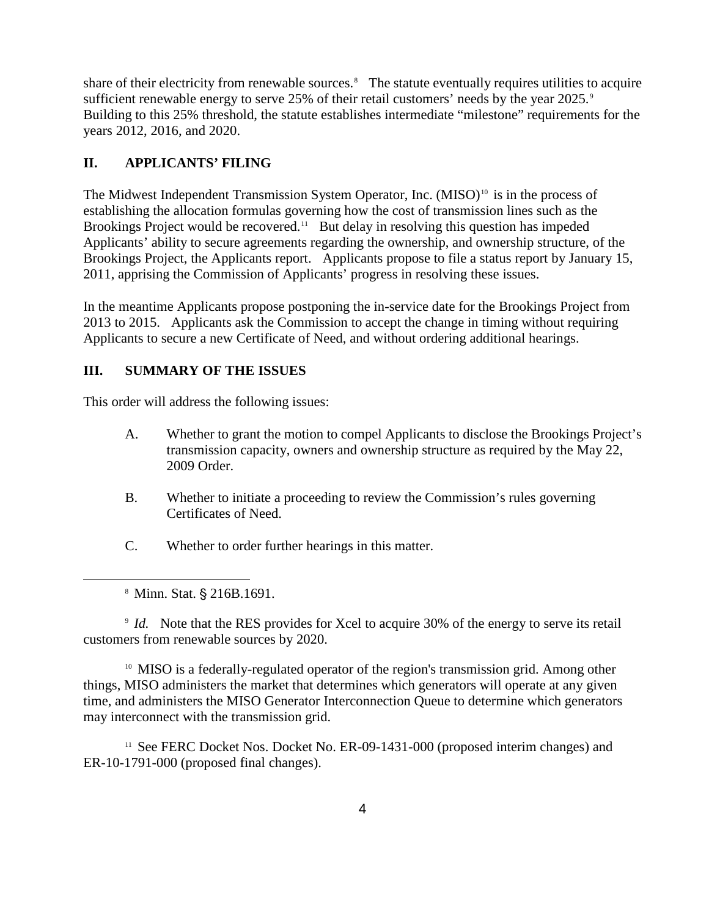share of their electricity from renewable sources.<sup>[8](#page-2-2)</sup> The statute eventually requires utilities to acquire sufficient renewable energy to serve 25% of their retail customers' needs by the year 2025.<sup>[9](#page-3-0)</sup> Building to this 25% threshold, the statute establishes intermediate "milestone" requirements for the years 2012, 2016, and 2020.

## **II. APPLICANTS' FILING**

The Midwest Independent Transmission System Operator, Inc. (MISO)<sup>[10](#page-3-1)</sup> is in the process of establishing the allocation formulas governing how the cost of transmission lines such as the Brookings Project would be recovered.<sup>[11](#page-3-2)</sup> But delay in resolving this question has impeded Applicants' ability to secure agreements regarding the ownership, and ownership structure, of the Brookings Project, the Applicants report. Applicants propose to file a status report by January 15, 2011, apprising the Commission of Applicants' progress in resolving these issues.

In the meantime Applicants propose postponing the in-service date for the Brookings Project from 2013 to 2015. Applicants ask the Commission to accept the change in timing without requiring Applicants to secure a new Certificate of Need, and without ordering additional hearings.

## **III. SUMMARY OF THE ISSUES**

This order will address the following issues:

- A. Whether to grant the motion to compel Applicants to disclose the Brookings Project's transmission capacity, owners and ownership structure as required by the May 22, 2009 Order.
- B. Whether to initiate a proceeding to review the Commission's rules governing Certificates of Need.
- C. Whether to order further hearings in this matter.

 $\overline{a}$ 

<span id="page-3-0"></span><sup>9</sup> *Id.* Note that the RES provides for Xcel to acquire 30% of the energy to serve its retail customers from renewable sources by 2020.

<span id="page-3-1"></span><sup>10</sup> MISO is a federally-regulated operator of the region's transmission grid. Among other things, MISO administers the market that determines which generators will operate at any given time, and administers the MISO Generator Interconnection Queue to determine which generators may interconnect with the transmission grid.

<span id="page-3-2"></span><sup>11</sup> See FERC Docket Nos. Docket No. ER-09-1431-000 (proposed interim changes) and ER-10-1791-000 (proposed final changes).

<sup>&</sup>lt;sup>8</sup> Minn. Stat. § 216B.1691.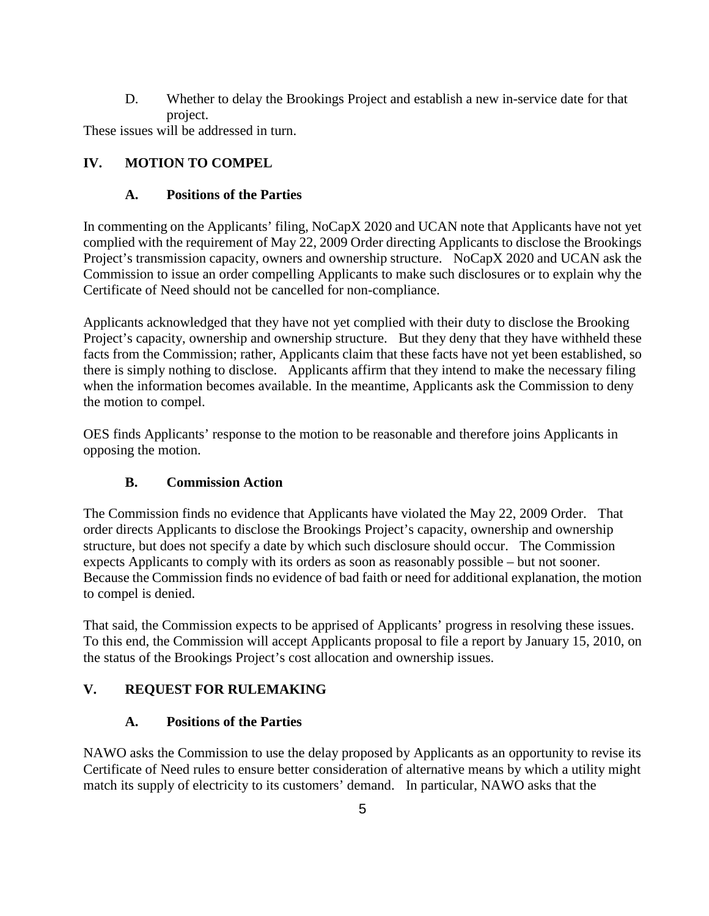D. Whether to delay the Brookings Project and establish a new in-service date for that project.

These issues will be addressed in turn.

# **IV. MOTION TO COMPEL**

# **A. Positions of the Parties**

In commenting on the Applicants' filing, NoCapX 2020 and UCAN note that Applicants have not yet complied with the requirement of May 22, 2009 Order directing Applicants to disclose the Brookings Project's transmission capacity, owners and ownership structure. NoCapX 2020 and UCAN ask the Commission to issue an order compelling Applicants to make such disclosures or to explain why the Certificate of Need should not be cancelled for non-compliance.

Applicants acknowledged that they have not yet complied with their duty to disclose the Brooking Project's capacity, ownership and ownership structure. But they deny that they have withheld these facts from the Commission; rather, Applicants claim that these facts have not yet been established, so there is simply nothing to disclose. Applicants affirm that they intend to make the necessary filing when the information becomes available. In the meantime, Applicants ask the Commission to deny the motion to compel.

OES finds Applicants' response to the motion to be reasonable and therefore joins Applicants in opposing the motion.

# **B. Commission Action**

The Commission finds no evidence that Applicants have violated the May 22, 2009 Order. That order directs Applicants to disclose the Brookings Project's capacity, ownership and ownership structure, but does not specify a date by which such disclosure should occur. The Commission expects Applicants to comply with its orders as soon as reasonably possible – but not sooner. Because the Commission finds no evidence of bad faith or need for additional explanation, the motion to compel is denied.

That said, the Commission expects to be apprised of Applicants' progress in resolving these issues. To this end, the Commission will accept Applicants proposal to file a report by January 15, 2010, on the status of the Brookings Project's cost allocation and ownership issues.

# **V. REQUEST FOR RULEMAKING**

# **A. Positions of the Parties**

NAWO asks the Commission to use the delay proposed by Applicants as an opportunity to revise its Certificate of Need rules to ensure better consideration of alternative means by which a utility might match its supply of electricity to its customers' demand. In particular, NAWO asks that the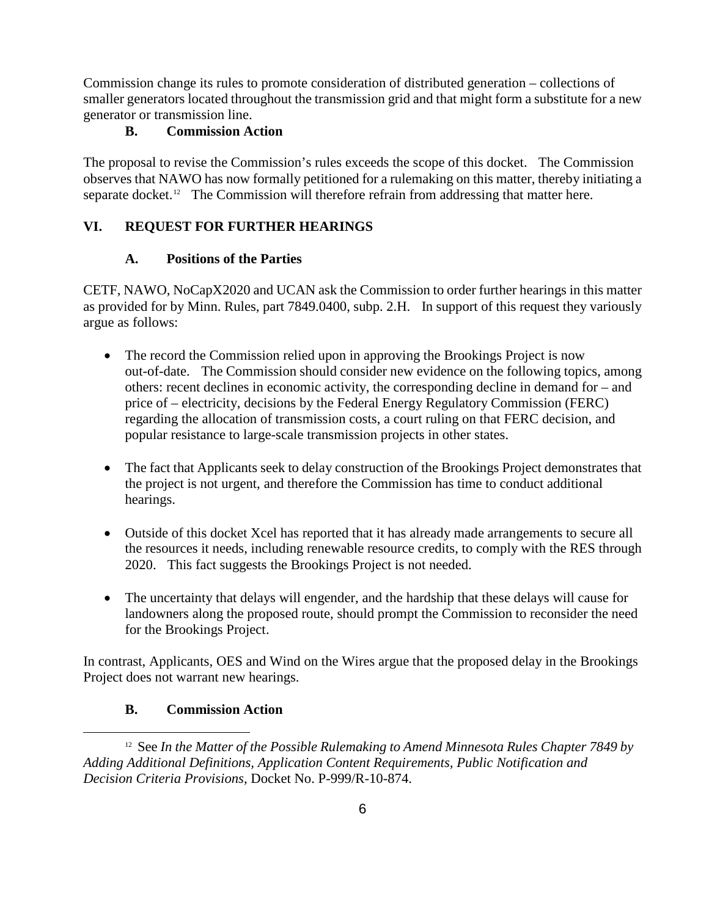Commission change its rules to promote consideration of distributed generation – collections of smaller generators located throughout the transmission grid and that might form a substitute for a new generator or transmission line.

### **B. Commission Action**

The proposal to revise the Commission's rules exceeds the scope of this docket. The Commission observes that NAWO has now formally petitioned for a rulemaking on this matter, thereby initiating a separate docket.<sup>12</sup> The Commission will therefore refrain from addressing that matter here.

## **VI. REQUEST FOR FURTHER HEARINGS**

### **A. Positions of the Parties**

CETF, NAWO, NoCapX2020 and UCAN ask the Commission to order further hearings in this matter as provided for by Minn. Rules, part 7849.0400, subp. 2.H. In support of this request they variously argue as follows:

- The record the Commission relied upon in approving the Brookings Project is now out-of-date. The Commission should consider new evidence on the following topics, among others: recent declines in economic activity, the corresponding decline in demand for – and price of – electricity, decisions by the Federal Energy Regulatory Commission (FERC) regarding the allocation of transmission costs, a court ruling on that FERC decision, and popular resistance to large-scale transmission projects in other states.
- The fact that Applicants seek to delay construction of the Brookings Project demonstrates that the project is not urgent, and therefore the Commission has time to conduct additional hearings.
- Outside of this docket Xcel has reported that it has already made arrangements to secure all the resources it needs, including renewable resource credits, to comply with the RES through 2020. This fact suggests the Brookings Project is not needed.
- The uncertainty that delays will engender, and the hardship that these delays will cause for landowners along the proposed route, should prompt the Commission to reconsider the need for the Brookings Project.

In contrast, Applicants, OES and Wind on the Wires argue that the proposed delay in the Brookings Project does not warrant new hearings.

## **B. Commission Action**

<span id="page-5-0"></span> $\overline{a}$ <sup>12</sup> See In the Matter of the Possible Rulemaking to Amend Minnesota Rules Chapter 7849 by *Adding Additional Definitions, Application Content Requirements, Public Notification and Decision Criteria Provisions*, Docket No. P-999/R-10-874.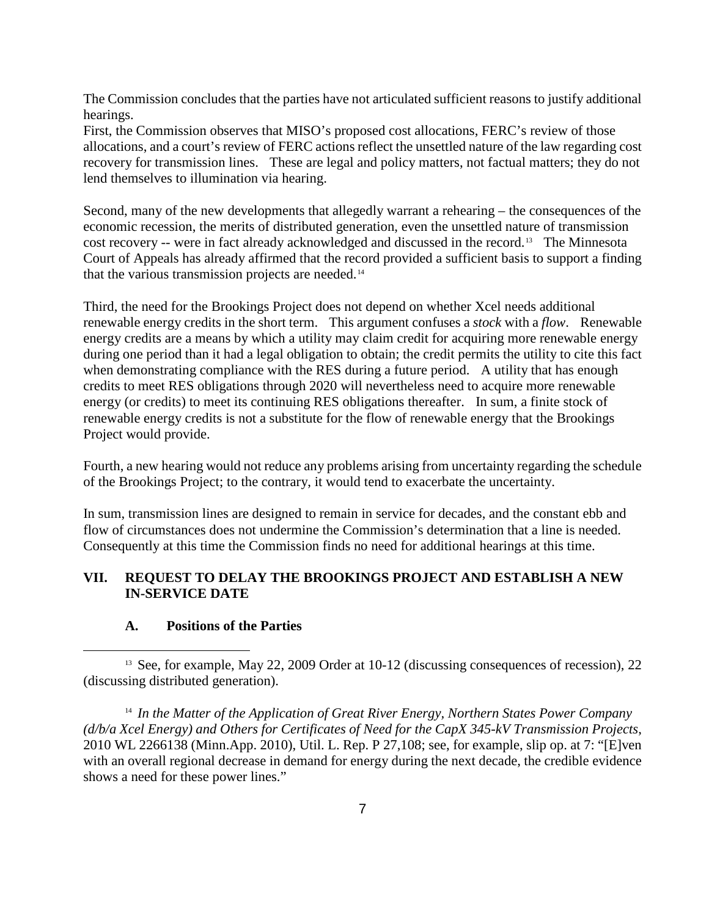The Commission concludes that the parties have not articulated sufficient reasons to justify additional hearings.

First, the Commission observes that MISO's proposed cost allocations, FERC's review of those allocations, and a court's review of FERC actions reflect the unsettled nature of the law regarding cost recovery for transmission lines. These are legal and policy matters, not factual matters; they do not lend themselves to illumination via hearing.

Second, many of the new developments that allegedly warrant a rehearing – the consequences of the economic recession, the merits of distributed generation, even the unsettled nature of transmission cost recovery -- were in fact already acknowledged and discussed in the record.[13](#page-6-0) The Minnesota Court of Appeals has already affirmed that the record provided a sufficient basis to support a finding that the various transmission projects are needed.<sup>14</sup>

Third, the need for the Brookings Project does not depend on whether Xcel needs additional renewable energy credits in the short term. This argument confuses a *stock* with a *flow*. Renewable energy credits are a means by which a utility may claim credit for acquiring more renewable energy during one period than it had a legal obligation to obtain; the credit permits the utility to cite this fact when demonstrating compliance with the RES during a future period. A utility that has enough credits to meet RES obligations through 2020 will nevertheless need to acquire more renewable energy (or credits) to meet its continuing RES obligations thereafter. In sum, a finite stock of renewable energy credits is not a substitute for the flow of renewable energy that the Brookings Project would provide.

Fourth, a new hearing would not reduce any problems arising from uncertainty regarding the schedule of the Brookings Project; to the contrary, it would tend to exacerbate the uncertainty.

In sum, transmission lines are designed to remain in service for decades, and the constant ebb and flow of circumstances does not undermine the Commission's determination that a line is needed. Consequently at this time the Commission finds no need for additional hearings at this time.

### **VII. REQUEST TO DELAY THE BROOKINGS PROJECT AND ESTABLISH A NEW IN-SERVICE DATE**

## **A. Positions of the Parties**

<span id="page-6-0"></span> $\overline{a}$ <sup>13</sup> See, for example, May 22, 2009 Order at 10-12 (discussing consequences of recession), 22 (discussing distributed generation).

<span id="page-6-1"></span><sup>14</sup> *In the Matter of the Application of Great River Energy, Northern States Power Company (d/b/a Xcel Energy) and Others for Certificates of Need for the CapX 345-kV Transmission Projects*, 2010 WL 2266138 (Minn.App. 2010), Util. L. Rep. P 27,108; see, for example, slip op. at 7: "[E]ven with an overall regional decrease in demand for energy during the next decade, the credible evidence shows a need for these power lines."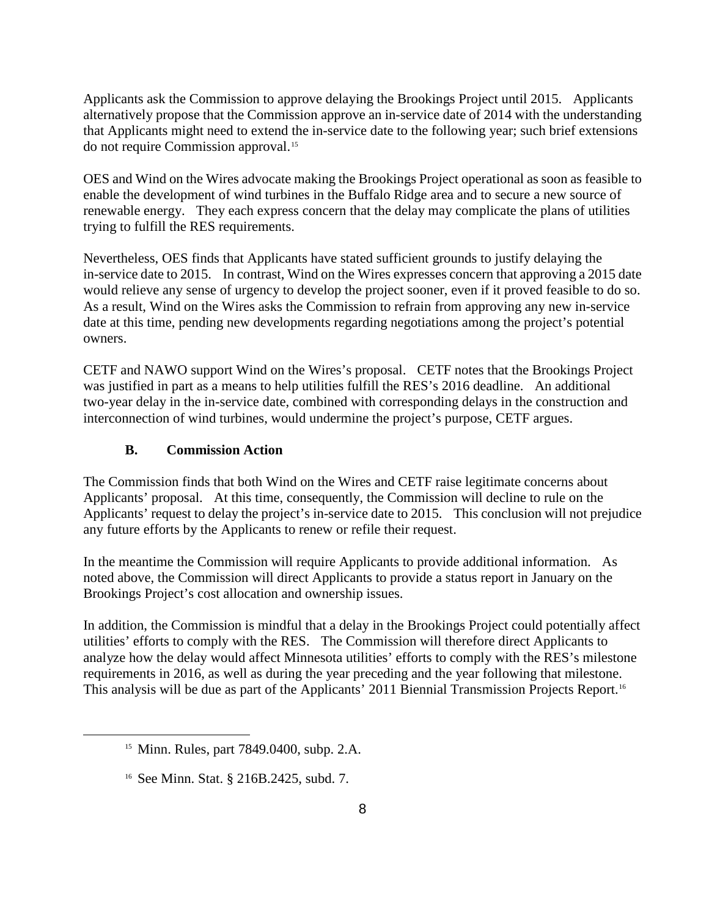Applicants ask the Commission to approve delaying the Brookings Project until 2015. Applicants alternatively propose that the Commission approve an in-service date of 2014 with the understanding that Applicants might need to extend the in-service date to the following year; such brief extensions do not require Commission approval.[15](#page-7-0)

OES and Wind on the Wires advocate making the Brookings Project operational as soon as feasible to enable the development of wind turbines in the Buffalo Ridge area and to secure a new source of renewable energy. They each express concern that the delay may complicate the plans of utilities trying to fulfill the RES requirements.

Nevertheless, OES finds that Applicants have stated sufficient grounds to justify delaying the in-service date to 2015. In contrast, Wind on the Wires expresses concern that approving a 2015 date would relieve any sense of urgency to develop the project sooner, even if it proved feasible to do so. As a result, Wind on the Wires asks the Commission to refrain from approving any new in-service date at this time, pending new developments regarding negotiations among the project's potential owners.

CETF and NAWO support Wind on the Wires's proposal. CETF notes that the Brookings Project was justified in part as a means to help utilities fulfill the RES's 2016 deadline. An additional two-year delay in the in-service date, combined with corresponding delays in the construction and interconnection of wind turbines, would undermine the project's purpose, CETF argues.

### **B. Commission Action**

The Commission finds that both Wind on the Wires and CETF raise legitimate concerns about Applicants' proposal. At this time, consequently, the Commission will decline to rule on the Applicants' request to delay the project's in-service date to 2015. This conclusion will not prejudice any future efforts by the Applicants to renew or refile their request.

In the meantime the Commission will require Applicants to provide additional information. As noted above, the Commission will direct Applicants to provide a status report in January on the Brookings Project's cost allocation and ownership issues.

In addition, the Commission is mindful that a delay in the Brookings Project could potentially affect utilities' efforts to comply with the RES. The Commission will therefore direct Applicants to analyze how the delay would affect Minnesota utilities' efforts to comply with the RES's milestone requirements in 2016, as well as during the year preceding and the year following that milestone. This analysis will be due as part of the Applicants' 2011 Biennial Transmission Projects Report.[16](#page-7-1)

<span id="page-7-1"></span><span id="page-7-0"></span> $\overline{a}$ 

<sup>15</sup> Minn. Rules, part 7849.0400, subp. 2.A.

<sup>16</sup> See Minn. Stat. § 216B.2425, subd. 7.